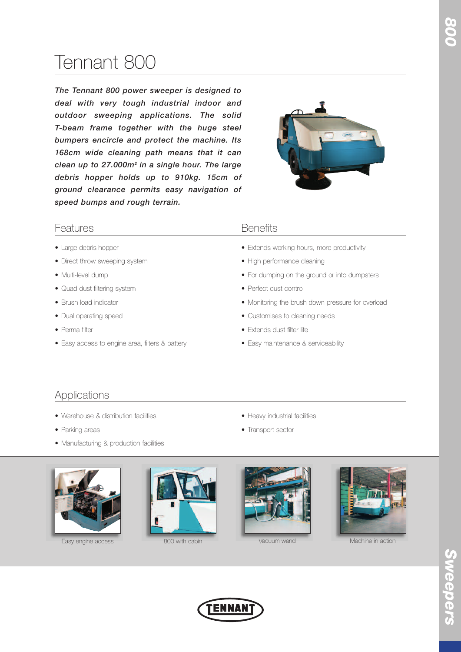# Tennant 800

*The Tennant 800 power sweeper is designed to deal with very tough industrial indoor and outdoor sweeping applications. The solid T-beam frame together with the huge steel bumpers encircle and protect the machine. Its 168cm wide cleaning path means that it can clean up to 27.000m2 in a single hour. The large debris hopper holds up to 910kg. 15cm of ground clearance permits easy navigation of speed bumps and rough terrain.*



# Features **Benefits**

- Large debris hopper
- Direct throw sweeping system
- Multi-level dump
- Quad dust filtering system
- Brush load indicator
- Dual operating speed
- Perma filter
- Easy access to engine area, filters & battery

- Extends working hours, more productivity
- High performance cleaning
- For dumping on the ground or into dumpsters
- Perfect dust control
- Monitoring the brush down pressure for overload
- Customises to cleaning needs
- Extends dust filter life
- Easy maintenance & serviceability

# Applications

- Warehouse & distribution facilities
- Parking areas
- Manufacturing & production facilities



Easy engine access 800 with cabin 800 with cabin 800 with cabin 800 with cabin 800 with cabin 800 with cabin 800 with cabin 800 with cabin 800 with cabin 800 with cabin 80 with cabin 80 with 80 with 80 with 80 with 80 with





• Heavy industrial facilities

• Transport sector